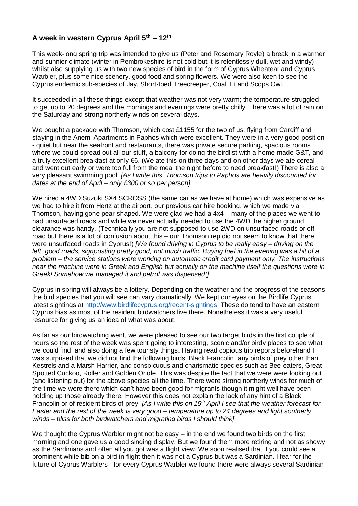# **A week in western Cyprus April 5th – 12th**

This week-long spring trip was intended to give us (Peter and Rosemary Royle) a break in a warmer and sunnier climate (winter in Pembrokeshire is not cold but it is relentlessly dull, wet and windy) whilst also supplying us with two new species of bird in the form of Cyprus Wheatear and Cyprus Warbler, plus some nice scenery, good food and spring flowers. We were also keen to see the Cyprus endemic sub-species of Jay, Short-toed Treecreeper, Coal Tit and Scops Owl.

It succeeded in all these things except that weather was not very warm; the temperature struggled to get up to 20 degrees and the mornings and evenings were pretty chilly. There was a lot of rain on the Saturday and strong northerly winds on several days.

We bought a package with Thomson, which cost  $£1155$  for the two of us, flying from Cardiff and staying in the Anemi Apartments in Paphos which were excellent. They were in a very good position - quiet but near the seafront and restaurants, there was private secure parking, spacious rooms where we could spread out all our stuff, a balcony for doing the birdlist with a home-made G&T, and a truly excellent breakfast at only €6. (We ate this on three days and on other days we ate cereal and went out early or were too full from the meal the night before to need breakfast!) There is also a very pleasant swimming pool. *[As I write this, Thomson trips to Paphos are heavily discounted for dates at the end of April – only £300 or so per person].*

We hired a 4WD Suzuki SX4 SCROSS (the same car as we have at home) which was expensive as we had to hire it from Hertz at the airport, our previous car hire booking, which we made via Thomson, having gone pear-shaped. We were glad we had a 4x4 – many of the places we went to had unsurfaced roads and while we never actually needed to use the 4WD the higher ground clearance was handy. (Technically you are not supposed to use 2WD on unsurfaced roads or offroad but there is a lot of confusion about this – our Thomson rep did not seem to know that there were unsurfaced roads in Cyprus!) *[We found driving in Cyprus to be really easy – driving on the left, good roads, signposting pretty good, not much traffic. Buying fuel in the evening was a bit of a problem – the service stations were working on automatic credit card payment only. The instructions near the machine were in Greek and English but actually on the machine itself the questions were in Greek! Somehow we managed it and petrol was dispensed!]*

Cyprus in spring will always be a lottery. Depending on the weather and the progress of the seasons the bird species that you will see can vary dramatically. We kept our eyes on the Birdlife Cyprus latest sightings at [http://www.birdlifecyprus.org/recent-sightings.](http://www.birdlifecyprus.org/recent-sightings) These do tend to have an eastern Cyprus bias as most of the resident birdwatchers live there. Nonetheless it was a very useful resource for giving us an idea of what was about.

As far as our birdwatching went, we were pleased to see our two target birds in the first couple of hours so the rest of the week was spent going to interesting, scenic and/or birdy places to see what we could find, and also doing a few touristy things. Having read copious trip reports beforehand I was surprised that we did not find the following birds: Black Francolin, any birds of prey other than Kestrels and a Marsh Harrier, and conspicuous and charismatic species such as Bee-eaters, Great Spotted Cuckoo, Roller and Golden Oriole. This was despite the fact that we were were looking out (and listening out) for the above species all the time. There were strong northerly winds for much of the time we were there which can't have been good for migrants though it might well have been holding up those already there. However this does not explain the lack of any hint of a Black Francolin or of resident birds of prey. *[As I write this on 15th April I see that the weather forecast for Easter and the rest of the week is very good – temperature up to 24 degrees and light southerly winds – bliss for both birdwatchers and migrating birds I should think]*

We thought the Cyprus Warbler might not be easy – in the end we found two birds on the first morning and one gave us a good singing display. But we found them more retiring and not as showy as the Sardinians and often all you got was a flight view. We soon realised that if you could see a prominent white bib on a bird in flight then it was not a Cyprus but was a Sardinian. I fear for the future of Cyprus Warblers - for every Cyprus Warbler we found there were always several Sardinian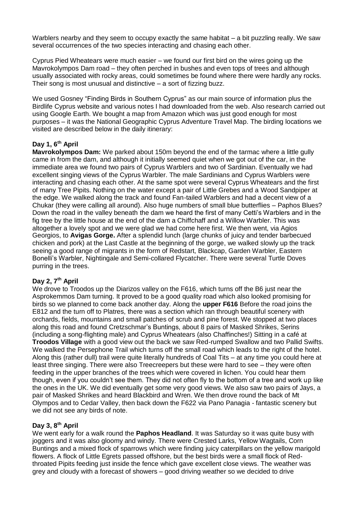Warblers nearby and they seem to occupy exactly the same habitat – a bit puzzling really. We saw several occurrences of the two species interacting and chasing each other.

Cyprus Pied Wheatears were much easier – we found our first bird on the wires going up the Mavrokolympos Dam road – they often perched in bushes and even tops of trees and although usually associated with rocky areas, could sometimes be found where there were hardly any rocks. Their song is most unusual and distinctive – a sort of fizzing buzz.

We used Gosney "Finding Birds in Southern Cyprus" as our main source of information plus the Birdlife Cyprus website and various notes I had downloaded from the web. Also research carried out using Google Earth. We bought a map from Amazon which was just good enough for most purposes – it was the National Geographic Cyprus Adventure Travel Map. The birding locations we visited are described below in the daily itinerary:

### **Day 1, 6th April**

**Mavrokolympos Dam:** We parked about 150m beyond the end of the tarmac where a little gully came in from the dam, and although it initially seemed quiet when we got out of the car, in the immediate area we found two pairs of Cyprus Warblers and two of Sardinian. Eventually we had excellent singing views of the Cyprus Warbler. The male Sardinians and Cyprus Warblers were interacting and chasing each other. At the same spot were several Cyprus Wheatears and the first of many Tree Pipits. Nothing on the water except a pair of Little Grebes and a Wood Sandpiper at the edge. We walked along the track and found Fan-tailed Warblers and had a decent view of a Chukar (they were calling all around). Also huge numbers of small blue butterflies – Paphos Blues? Down the road in the valley beneath the dam we heard the first of many Cetti's Warblers and in the fig tree by the little house at the end of the dam a Chiffchaff and a Willow Warbler. This was altogether a lovely spot and we were glad we had come here first. We then went, via Agios Georgios, to **Avigas Gorge.** After a splendid lunch (large chunks of juicy and tender barbecued chicken and pork) at the Last Castle at the beginning of the gorge, we walked slowly up the track seeing a good range of migrants in the form of Redstart, Blackcap, Garden Warbler, Eastern Bonelli's Warbler, Nightingale and Semi-collared Flycatcher. There were several Turtle Doves purring in the trees.

### **Day 2, 7th April**

We drove to Troodos up the Diarizos valley on the F616, which turns off the B6 just near the Asprokemmos Dam turning. It proved to be a good quality road which also looked promising for birds so we planned to come back another day. Along the **upper F616** Before the road joins the E812 and the turn off to Platres, there was a section which ran through beautiful scenery with orchards, fields, mountains and small patches of scrub and pine forest. We stopped at two places along this road and found Cretzschmar's Buntings, about 8 pairs of Masked Shrikes, Serins (including a song-flighting male) and Cyprus Wheatears (also Chaffinches!) Sitting in a café at **Troodos Village** with a good view out the back we saw Red-rumped Swallow and two Pallid Swifts. We walked the Persephone Trail which turns off the small road which leads to the right of the hotel. Along this (rather dull) trail were quite literally hundreds of Coal Tits – at any time you could here at least three singing. There were also Treecreepers but these were hard to see – they were often feeding in the upper branches of the trees which were covered in lichen. You could hear them though, even if you couldn't see them. They did not often fly to the bottom of a tree and work up like the ones in the UK. We did eventually get some very good views. We also saw two pairs of Jays, a pair of Masked Shrikes and heard Blackbird and Wren. We then drove round the back of Mt Olympos and to Cedar Valley, then back down the F622 via Pano Panagia - fantastic scenery but we did not see any birds of note.

### **Day 3, 8th April**

We went early for a walk round the **Paphos Headland**. It was Saturday so it was quite busy with joggers and it was also gloomy and windy. There were Crested Larks, Yellow Wagtails, Corn Buntings and a mixed flock of sparrows which were finding juicy caterpillars on the yellow marigold flowers. A flock of Little Egrets passed offshore, but the best birds were a small flock of Redthroated Pipits feeding just inside the fence which gave excellent close views. The weather was grey and cloudy with a forecast of showers – good driving weather so we decided to drive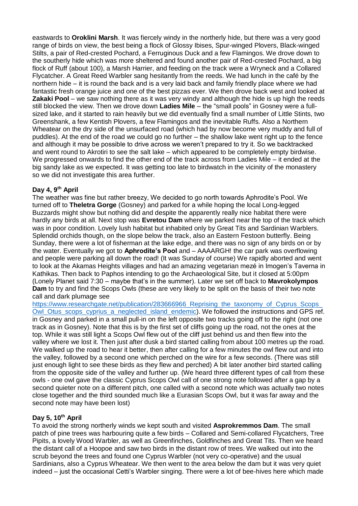eastwards to **Oroklini Marsh**. It was fiercely windy in the northerly hide, but there was a very good range of birds on view, the best being a flock of Glossy Ibises, Spur-winged Plovers, Black-winged Stilts, a pair of Red-crested Pochard, a Ferruginous Duck and a few Flamingos. We drove down to the southerly hide which was more sheltered and found another pair of Red-crested Pochard, a big flock of Ruff (about 100), a Marsh Harrier, and feeding on the track were a Wryneck and a Collared Flycatcher. A Great Reed Warbler sang hesitantly from the reeds. We had lunch in the café by the northern hide – it is round the back and is a very laid back and family friendly place where we had fantastic fresh orange juice and one of the best pizzas ever. We then drove back west and looked at **Zakaki Pool** – we saw nothing there as it was very windy and although the hide is up high the reeds still blocked the view. Then we drove down **Ladies Mile** – the "small pools" in Gosney were a fullsized lake, and it started to rain heavily but we did eventually find a small number of Little Stints, two Greenshank, a few Kentish Plovers, a few Flamingos and the inevitable Ruffs. Also a Northern Wheatear on the dry side of the unsurfaced road (which had by now become very muddy and full of puddles). At the end of the road we could go no further – the shallow lake went right up to the fence and although it may be possible to drive across we weren't prepared to try it. So we backtracked and went round to Akrotiri to see the salt lake – which appeared to be completely empty birdwise. We progressed onwards to find the other end of the track across from Ladies Mile – it ended at the big sandy lake as we expected. It was getting too late to birdwatch in the vicinity of the monastery so we did not investigate this area further.

## **Day 4, 9th April**

The weather was fine but rather breezy, We decided to go north towards Aphrodite's Pool. We turned off to **Theletra Gorge** (Gosney) and parked for a while hoping the local Long-legged Buzzards might show but nothing did and despite the apparently really nice habitat there were hardly any birds at all. Next stop was **Evretou Dam** where we parked near the top of the track which was in poor condition. Lovely lush habitat but inhabited only by Great Tits and Sardinian Warblers. Splendid orchids though, on the slope below the track, also an Eastern Festoon butterfly. Being Sunday, there were a lot of fisherman at the lake edge, and there was no sign of any birds on or by the water. Eventually we got to **Aphrodite's Pool** and – AAAARGH! the car park was overflowing and people were parking all down the road! (It was Sunday of course) We rapidly aborted and went to look at the Akamas Heights villages and had an amazing vegetarian mezé in Imogen's Taverna in Kathikas. Then back to Paphos intending to go the Archaeological Site, but it closed at 5:00pm (Lonely Planet said 7:30 – maybe that's in the summer). Later we set off back to **Mavrokolympos Dam** to try and find the Scops Owls (these are very likely to be split on the basis of their two note call and dark plumage see

https://www.researchgate.net/publication/283666966 Reprising the taxonomy of Cyprus Scops [Owl\\_Otus\\_scops\\_cyprius\\_a\\_neglected\\_island\\_endemic\)](https://www.researchgate.net/publication/283666966_Reprising_the_taxonomy_of_Cyprus_Scops_Owl_Otus_scops_cyprius_a_neglected_island_endemic). We followed the instructions and GPS ref. in Gosney and parked in a small pull-in on the left opposite two tracks going off to the right (not one track as in Gosney). Note that this is by the first set of cliffs going up the road, not the ones at the top. While it was still light a Scops Owl flew out of the cliff just behind us and then flew into the valley where we lost it. Then just after dusk a bird started calling from about 100 metres up the road. We walked up the road to hear it better, then after calling for a few minutes the owl flew out and into the valley, followed by a second one which perched on the wire for a few seconds. (There was still just enough light to see these birds as they flew and perched) A bit later another bird started calling from the opposite side of the valley and further up. (We heard three different types of call from these owls - one owl gave the classic Cyprus Scops Owl call of one strong note followed after a gap by a second quieter note on a different pitch, one called with a second note which was actually two notes close together and the third sounded much like a Eurasian Scops Owl, but it was far away and the second note may have been lost)

### **Day 5, 10th April**

To avoid the strong northerly winds we kept south and visited **Asprokremmos Dam**. The small patch of pine trees was harbouring quite a few birds – Collared and Semi-collared Flycatchers, Tree Pipits, a lovely Wood Warbler, as well as Greenfinches, Goldfinches and Great Tits. Then we heard the distant call of a Hoopoe and saw two birds in the distant row of trees. We walked out into the scrub beyond the trees and found one Cyprus Warbler (not very co-operative) and the usual Sardinians, also a Cyprus Wheatear. We then went to the area below the dam but it was very quiet indeed – just the occasional Cetti's Warbler singing. There were a lot of bee-hives here which made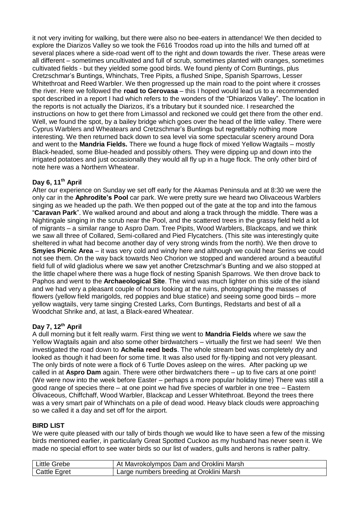it not very inviting for walking, but there were also no bee-eaters in attendance! We then decided to explore the Diarizos Valley so we took the F616 Troodos road up into the hills and turned off at several places where a side-road went off to the right and down towards the river. These areas were all different – sometimes uncultivated and full of scrub, sometimes planted with oranges, sometimes cultivated fields - but they yielded some good birds. We found plenty of Corn Buntings, plus Cretzschmar's Buntings, Whinchats, Tree Pipits, a flushed Snipe, Spanish Sparrows, Lesser Whitethroat and Reed Warbler. We then progressed up the main road to the point where it crosses the river. Here we followed the **road to Gerovasa** – this I hoped would lead us to a recommended spot described in a report I had which refers to the wonders of the "Dhiarizos Valley". The location in the reports is not actually the Diarizos, it's a tributary but it sounded nice. I researched the instructions on how to get there from Limassol and reckoned we could get there from the other end. Well, we found the spot, by a bailey bridge which goes over the head of the little valley. There were Cyprus Warblers and Wheatears and Cretzschmar's Buntings but regrettably nothing more interesting. We then returned back down to sea level via some spectacular scenery around Dora and went to the **Mandria Fields.** There we found a huge flock of mixed Yellow Wagtails – mostly Black-headed, some Blue-headed and possibly others*.* They were dipping up and down into the irrigated potatoes and just occasionally they would all fly up in a huge flock. The only other bird of note here was a Northern Wheatear.

## **Day 6, 11th April**

After our experience on Sunday we set off early for the Akamas Peninsula and at 8:30 we were the only car in the **Aphrodite's Pool** car park. We were pretty sure we heard two Olivaceous Warblers singing as we headed up the path. We then popped out of the gate at the top and into the famous "**Caravan Park**". We walked around and about and along a track through the middle. There was a Nightingale singing in the scrub near the Pool, and the scattered trees in the grassy field held a lot of migrants – a similar range to Aspro Dam. Tree Pipits, Wood Warblers, Blackcaps, and we think we saw all three of Collared, Semi-collared and Pied Flycatchers. (This site was interestingly quite sheltered in what had become another day of very strong winds from the north). We then drove to **Smyies Picnic Area** – it was very cold and windy here and although we could hear Serins we could not see them. On the way back towards Neo Chorion we stopped and wandered around a beautiful field full of wild gladiolus where we saw yet another Cretzschmar's Bunting and we also stopped at the little chapel where there was a huge flock of nesting Spanish Sparrows. We then drove back to Paphos and went to the **Archaeological Site**. The wind was much lighter on this side of the island and we had very a pleasant couple of hours looking at the ruins, photographing the masses of flowers (yellow field marigolds, red poppies and blue statice) and seeing some good birds – more yellow wagtails, very tame singing Crested Larks, Corn Buntings, Redstarts and best of all a Woodchat Shrike and, at last, a Black-eared Wheatear.

### **Day 7, 12th April**

A dull morning but it felt really warm. First thing we went to **Mandria Fields** where we saw the Yellow Wagtails again and also some other birdwatchers – virtually the first we had seen! We then investigated the road down to **Achelia reed beds**. The whole stream bed was completely dry and looked as though it had been for some time. It was also used for fly-tipping and not very pleasant. The only birds of note were a flock of 6 Turtle Doves asleep on the wires. After packing up we called in at **Aspro Dam** again. There were other birdwatchers there – up to five cars at one point! (We were now into the week before Easter – perhaps a more popular holiday time) There was still a good range of species there – at one point we had five species of warbler in one tree – Eastern Olivaceous, Chiffchaff, Wood Warbler, Blackcap and Lesser Whitethroat. Beyond the trees there was a very smart pair of Whinchats on a pile of dead wood. Heavy black clouds were approaching so we called it a day and set off for the airport.

### **BIRD LIST**

We were quite pleased with our tally of birds though we would like to have seen a few of the missing birds mentioned earlier, in particularly Great Spotted Cuckoo as my husband has never seen it. We made no special effort to see water birds so our list of waders, gulls and herons is rather paltry.

| ∟ittle Grebe | <sup>1</sup> At Mavrokolympos Dam and Oroklini Marsh |
|--------------|------------------------------------------------------|
| Cattle Egret | Large numbers breeding at Oroklini Marsh             |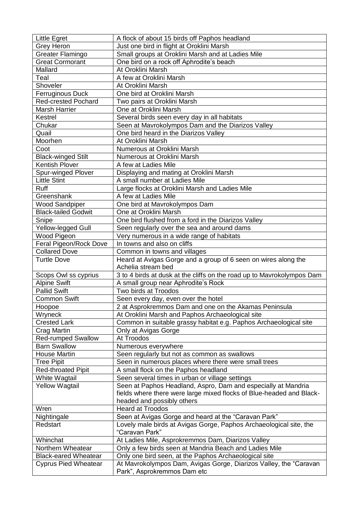| <b>Little Egret</b>         | A flock of about 15 birds off Paphos headland                                                    |
|-----------------------------|--------------------------------------------------------------------------------------------------|
| <b>Grey Heron</b>           | Just one bird in flight at Oroklini Marsh                                                        |
| <b>Greater Flamingo</b>     | Small groups at Oroklini Marsh and at Ladies Mile                                                |
| <b>Great Cormorant</b>      | One bird on a rock off Aphrodite's beach                                                         |
| Mallard                     | At Oroklini Marsh                                                                                |
| Teal                        | A few at Oroklini Marsh                                                                          |
| Shoveler                    | At Oroklini Marsh                                                                                |
| <b>Ferruginous Duck</b>     | One bird at Oroklini Marsh                                                                       |
| <b>Red-crested Pochard</b>  | Two pairs at Oroklini Marsh                                                                      |
| <b>Marsh Harrier</b>        | One at Oroklini Marsh                                                                            |
| Kestrel                     | Several birds seen every day in all habitats                                                     |
| Chukar                      | Seen at Mavrokolympos Dam and the Diarizos Valley                                                |
| Quail                       | One bird heard in the Diarizos Valley                                                            |
| Moorhen                     | At Oroklini Marsh                                                                                |
| Coot                        | Numerous at Oroklini Marsh                                                                       |
| <b>Black-winged Stilt</b>   | Numerous at Oroklini Marsh                                                                       |
| <b>Kentish Plover</b>       | A few at Ladies Mile                                                                             |
| <b>Spur-winged Plover</b>   | Displaying and mating at Oroklini Marsh                                                          |
| <b>Little Stint</b>         | A small number at Ladies Mile                                                                    |
| <b>Ruff</b>                 | Large flocks at Oroklini Marsh and Ladies Mile                                                   |
| Greenshank                  | A few at Ladies Mile                                                                             |
| <b>Wood Sandpiper</b>       | One bird at Mavrokolympos Dam                                                                    |
| <b>Black-tailed Godwit</b>  | One at Oroklini Marsh                                                                            |
| Snipe                       | One bird flushed from a ford in the Diarizos Valley                                              |
| Yellow-legged Gull          | Seen regularly over the sea and around dams                                                      |
| Wood Pigeon                 | Very numerous in a wide range of habitats                                                        |
| Feral Pigeon/Rock Dove      | In towns and also on cliffs                                                                      |
| <b>Collared Dove</b>        | Common in towns and villages                                                                     |
|                             |                                                                                                  |
|                             |                                                                                                  |
| <b>Turtle Dove</b>          | Heard at Avigas Gorge and a group of 6 seen on wires along the                                   |
|                             | Achelia stream bed                                                                               |
| Scops Owl ss cyprius        | 3 to 4 birds at dusk at the cliffs on the road up to Mavrokolympos Dam                           |
| <b>Alpine Swift</b>         | A small group near Aphrodite's Rock                                                              |
| <b>Pallid Swift</b>         | Two birds at Troodos                                                                             |
| <b>Common Swift</b>         | Seen every day, even over the hotel                                                              |
| Hoopoe                      | 2 at Asprokremmos Dam and one on the Akamas Peninsula                                            |
| Wryneck                     | At Oroklini Marsh and Paphos Archaeological site                                                 |
| <b>Crested Lark</b>         | Common in suitable grassy habitat e.g. Paphos Archaeological site                                |
| Crag Martin                 | Only at Avigas Gorge                                                                             |
| <b>Red-rumped Swallow</b>   | At Troodos                                                                                       |
| <b>Barn Swallow</b>         | Numerous everywhere                                                                              |
| <b>House Martin</b>         | Seen regularly but not as common as swallows                                                     |
| <b>Tree Pipit</b>           | Seen in numerous places where there were small trees                                             |
| <b>Red-throated Pipit</b>   | A small flock on the Paphos headland                                                             |
| White Wagtail               | Seen several times in urban or village settings                                                  |
| <b>Yellow Wagtail</b>       | Seen at Paphos Headland, Aspro, Dam and especially at Mandria                                    |
|                             | fields where there were large mixed flocks of Blue-headed and Black-                             |
|                             | headed and possibly others                                                                       |
| Wren                        | <b>Heard at Troodos</b>                                                                          |
| Nightingale                 | Seen at Avigas Gorge and heard at the "Caravan Park"                                             |
| Redstart                    | Lovely male birds at Avigas Gorge, Paphos Archaeological site, the                               |
|                             | "Caravan Park"                                                                                   |
| Whinchat                    | At Ladies Mile, Asprokremmos Dam, Diarizos Valley                                                |
| Northern Wheatear           | Only a few birds seen at Mandria Beach and Ladies Mile                                           |
| <b>Black-eared Wheatear</b> | Only one bird seen, at the Paphos Archaeological site                                            |
| <b>Cyprus Pied Wheatear</b> | At Mavrokolympos Dam, Avigas Gorge, Diarizos Valley, the "Caravan<br>Park", Asprokremmos Dam etc |